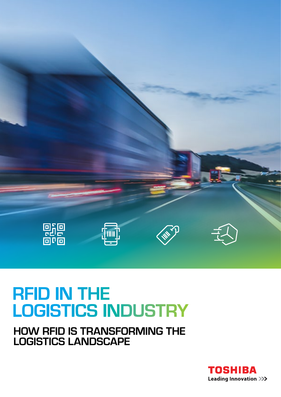

## **RFID IN THE LOGISTICS INDUSTRY**

**HOW RFID IS TRANSFORMING THE LOGISTICS LANDSCAPE**

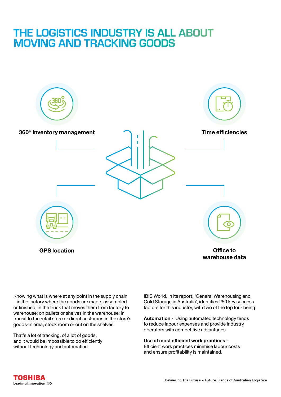### **THE LOGISTICS INDUSTRY IS ALL ABOUT MOVING AND TRACKING GOODS**



Knowing what is where at any point in the supply chain – in the factory where the goods are made, assembled or finished; in the truck that moves them from factory to warehouse; on pallets or shelves in the warehouse; in transit to the retail store or direct customer; in the store's goods-in area, stock room or out on the shelves.

That's a lot of tracking, of a lot of goods, and it would be impossible to do efficiently without technology and automation.

IBIS World, in its report, 'General Warehousing and Cold Storage in Australia', identifies 250 key success factors for this industry, with two of the top four being:

**Automation** - Using automated technology tends to reduce labour expenses and provide industry operators with competitive advantages.

**Use of most efficient work practices** -

Efficient work practices minimise labour costs and ensure profitability is maintained.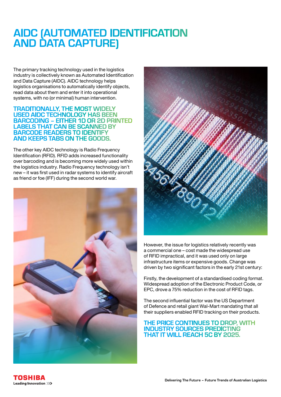### **AIDC (AUTOMATED IDENTIFICATION AND DATA CAPTURE)**

The primary tracking technology used in the logistics industry is collectively known as Automated Identification and Data Capture (AIDC). AIDC technology helps logistics organisations to automatically identify objects, read data about them and enter it into operational systems, with no (or minimal) human intervention.

### **TRADITIONALLY, THE MOST WIDELY USED AIDC TECHNOLOGY HAS BEEN BARCODING – EITHER 1D OR 2D PRINTED LABELS THAT CAN BE SCANNED BY BARCODE READERS TO IDENTIFY AND KEEPS TABS ON THE GOODS.**

The other key AIDC technology is Radio Frequency Identification (RFID). RFID adds increased functionality over barcoding and is becoming more widely used within the logistics industry. Radio Frequency technology isn't new – it was first used in radar systems to identify aircraft as friend or foe (IFF) during the second world war.





However, the issue for logistics relatively recently was a commercial one – cost made the widespread use of RFID impractical, and it was used only on large infrastructure items or expensive goods. Change was driven by two significant factors in the early 21st century:

Firstly, the development of a standardised coding format. Widespread adoption of the Electronic Product Code, or EPC, drove a 75% reduction in the cost of RFID tags.

The second influential factor was the US Department of Defence and retail giant Wal-Mart mandating that all their suppliers enabled RFID tracking on their products.

### **THE PRICE CONTINUES TO DROP, WITH INDUSTRY SOURCES PREDICTING THAT IT WILL REACH 5C BY 2025.**

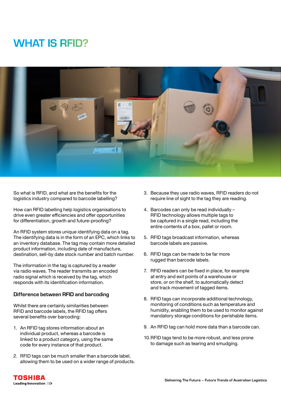### **WHAT IS RFID?**



So what is RFID, and what are the benefits for the logistics industry compared to barcode labelling?

How can RFID labelling help logistics organisations to drive even greater efficiencies and offer opportunities for differentiation, growth and future-proofing?

An RFID system stores unique identifying data on a tag. The identifying data is in the form of an EPC, which links to an inventory database. The tag may contain more detailed product information, including date of manufacture, destination, sell-by date stock number and batch number.

The information in the tag is captured by a reader via radio waves. The reader transmits an encoded radio signal which is received by the tag, which responds with its identification information.

#### **Difference between RFID and barcoding**

Whilst there are certainly similarities between RFID and barcode labels, the RFID tag offers several benefits over barcoding:

- 1. An RFID tag stores information about an individual product, whereas a barcode is linked to a product category, using the same code for every instance of that product.
- 2. RFID tags can be much smaller than a barcode label, allowing them to be used on a wider range of products.
- 3. Because they use radio waves, RFID readers do not require line of sight to the tag they are reading.
- 4. Barcodes can only be read individually RFID technology allows multiple tags to be captured in a single read, including the entire contents of a box, pallet or room.
- 5. RFID tags broadcast information, whereas barcode labels are passive.
- 6. RFID tags can be made to be far more rugged than barcode labels.
- 7. RFID readers can be fixed in place, for example at entry and exit points of a warehouse or store, or on the shelf, to automatically detect and track movement of tagged items.
- 8. RFID tags can incorporate additional technology, monitoring of conditions such as temperature and humidity, enabling them to be used to monitor against mandatory storage conditions for perishable items.
- 9. An RFID tag can hold more data than a barcode can.
- 10.RFID tags tend to be more robust, and less prone to damage such as tearing and smudging.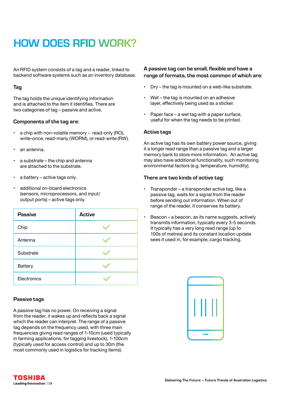### **HOW DOES RFID WORK?**

An RFID system consists of a tag and a reader, linked to backend software systems such as an inventory database.

### **Tag**

The tag holds the unique identifying information and is attached to the item it identifies. There are two categories of tag – passive and active.

#### **Components of the tag are:**

- a chip with non-volatile memory read-only (RO), write-once, read-many (WORM), or read-write (RW).
- an antenna.
- a substrate the chip and antenna are attached to the substrate.
- a battery active tags only.
- additional on-board electronics (sensors, microprocessors, and input/ output ports) – active tags only.

| <b>Passive</b> | <b>Active</b> |
|----------------|---------------|
| Chip           |               |
| Antenna        |               |
| Substrate      |               |
| <b>Battery</b> |               |
| Electronics    |               |

### **Passive tags**

A passive tag has no power. On receiving a signal from the reader, it wakes up and reflects back a signal which the reader can interpret. The range of a passive tag depends on the frequency used, with three main frequencies giving read ranges of 1-10cm (used typically in farming applications, for tagging livestock), 1-100cm (typically used for access control) and up to 30m (the most commonly used in logistics for tracking items).

### **A passive tag can be small, flexible and have a range of formats, the most common of which are:**

- Dry the tag is mounted on a web-like substrate.
- Wet the tag is mounted on an adhesive layer, effectively being used as a sticker.
- Paper face a wet tag with a paper surface, useful for when the tag needs to be printed.

#### **Active tags**

An active tag has its own battery power source, giving it a longer read range than a passive tag and a larger memory bank to store more information. An active tag may also have additional functionality, such monitoring environmental factors (e.g. temperature, humidity).

#### **There are two kinds of active tag:**

- Transponder a transponder active tag, like a passive tag, waits for a signal from the reader before sending out information. When out of range of the reader, it conserves its battery.
- Beacon a beacon, as its name suggests, actively transmits information, typically every 3-5 seconds. It typically has a very long read range (up to 100s of metres) and its constant location update sees it used in, for example, cargo tracking.



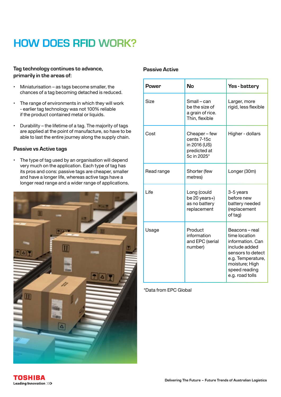### **HOW DOES RFID WORK?**

### **Tag technology continues to advance, primarily in the areas of:**

- Miniaturisation as tags become smaller, the chances of a tag becoming detached is reduced.
- The range of environments in which they will work - earlier tag technology was not 100% reliable if the product contained metal or liquids.
- Durability the lifetime of a tag. The majority of tags are applied at the point of manufacture, so have to be able to last the entire journey along the supply chain.

### **Passive vs Active tags**

• The type of tag used by an organisation will depend very much on the application. Each type of tag has its pros and cons: passive tags are cheaper, smaller and have a longer life, whereas active tags have a longer read range and a wider range of applications.



### **Passive Active**

| <b>Power</b> | No                                                                        | Yes - battery                                                                                                                                                      |
|--------------|---------------------------------------------------------------------------|--------------------------------------------------------------------------------------------------------------------------------------------------------------------|
| Size         | Small – can<br>be the size of<br>a grain of rice.<br>Thin, flexible       | Larger, more<br>rigid, less flexible                                                                                                                               |
| Cost         | Cheaper-few<br>cents 7-15c<br>in 2016 (US)<br>predicted at<br>5c in 2025* | Higher - dollars                                                                                                                                                   |
| Read range   | Shorter (few<br>metres)                                                   | Longer (30m)                                                                                                                                                       |
| Life         | Long (could<br>be 20 years+)<br>as no battery<br>replacement              | 3-5 years<br>before new<br>battery needed<br>(replacement<br>of tag)                                                                                               |
| Usage        | Product<br>information<br>and EPC (serial<br>number)                      | Beacons-real<br>time location<br>information. Can<br>include added<br>sensors to detect<br>e.g. Temperature,<br>moisture; High<br>speed reading<br>e.g. road tolls |

\*Data from EPC Global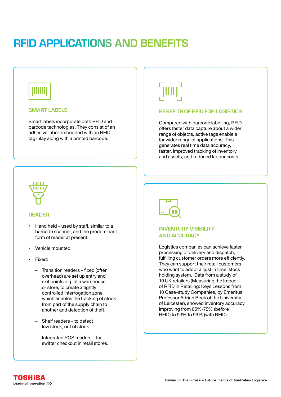### **RFID APPLICATIONS AND BENEFITS**

## IIIIII

### **SMART LABELS**

Smart labels incorporate both RFID and barcode technologies. They consist of an adhesive label embedded with an RFID tag inlay along with a printed barcode.



### **READER**

- Hand held used by staff, similar to a barcode scanner, and the predominant form of reader at present.
- Vehicle mounted.
- Fixed:
	- *–* Transition readers fixed (often overhead) are set up entry and exit points e.g. of a warehouse or store, to create a tightly controlled interrogation zone, which enables the tracking of stock from part of the supply chain to another and detection of theft.
	- *–* Shelf readers to detect low stock, out of stock.
	- *–* Integrated POS readers for swifter checkout in retail stores.

# $\parallel$

### **BENEFITS OF RFID FOR LOGISTICS**

Compared with barcode labelling, RFID offers faster data capture about a wider range of objects, active tags enable a far wider range of applications. This generates real time data accuracy, faster, improved tracking of inventory and assets, and reduced labour costs.



### **INVENTORY VISIBILITY AND ACCURACY**

Logistics companies can achieve faster processing of delivery and dispatch, fulfilling customer orders more efficiently. They can support their retail customers who want to adopt a 'just in time' stock holding system. Data from a study of 10 UK retailers (Measuring the Impact of RFID in Retailing: Keys Lessons from 10 Case-study Companies, by Emeritus Professor Adrian Beck of the University of Leicester), showed inventory accuracy improving from 65%-75% (before RFID) to 93% to 99% (with RFID).

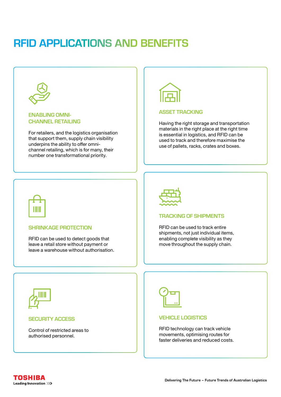### **RFID APPLICATIONS AND BENEFITS**

**ENABLING OMNI-CHANNEL RETAILING**

For retailers, and the logistics organisation that support them, supply chain visibility underpins the ability to offer omnichannel retailing, which is for many, their number one transformational priority.



#### **ASSET TRACKING**

Having the right storage and transportation materials in the right place at the right time is essential in logistics, and RFID can be used to track and therefore maximise the use of pallets, racks, crates and boxes.



### **SHRINKAGE PROTECTION**

RFID can be used to detect goods that leave a retail store without payment or leave a warehouse without authorisation.



### **TRACKING OF SHIPMENTS**

RFID can be used to track entire shipments, not just individual items, enabling complete visibility as they move throughout the supply chain.



#### **SECURITY ACCESS**

Control of restricted areas to authorised personnel.



#### **VEHICLE LOGISTICS**

RFID technology can track vehicle movements, optimising routes for faster deliveries and reduced costs.